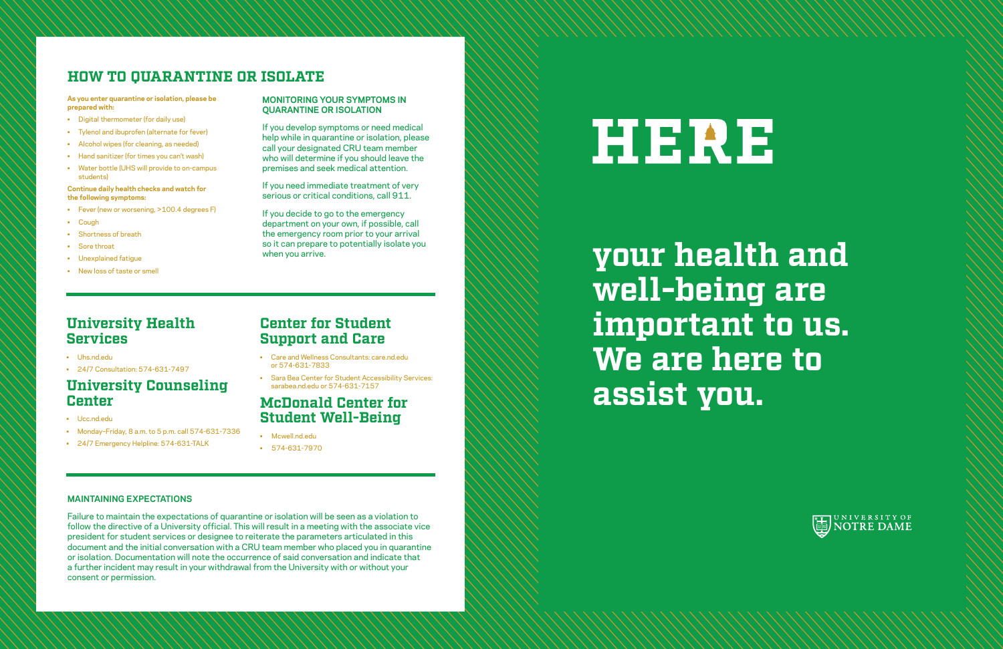### **University Health Services**

- Uhs.nd.edu
- 24/7 Consultation: 574-631-7497

### **University Counseling Center**

- Ucc.nd.edu
- Monday–Friday, 8 a.m. to 5 p.m. call 574-631-7336
- 24/7 Emergency Helpline: 574-631-TALK

### **Center for Student Support and Care**

- Care and Wellness Consultants: care.nd.edu or 574-631-7833
- Sara Bea Center for Student Accessibility Services: sarabea.nd.edu or 574-631-7157

### **McDonald Center for Student Well-Being**

- Mcwell.nd.edu
- 574-631-7970

# HERE

# **your health and well-being are important to us. We are here to assist you.**

## **HOW TO QUARANTINE OR ISOLATE**

**As you enter quarantine or isolation, please be prepared with:** 

- Digital thermometer (for daily use)
- Tylenol and ibuprofen (alternate for fever)
- Alcohol wipes (for cleaning, as needed)
- Hand sanitizer (for times you can't wash)
- Water bottle (UHS will provide to on-campus students)

**Continue daily health checks and watch for the following symptoms:** 

- Fever (new or worsening, >100.4 degrees F)
- Cough
- Shortness of breath
- Sore throat
- Unexplained fatigue
- New loss of taste or smell

### **MONITORING YOUR SYMPTOMS IN QUARANTINE OR ISOLATION**

If you develop symptoms or need medical help while in quarantine or isolation, please call your designated CRU team member who will determine if you should leave the premises and seek medical attention.

If you need immediate treatment of very serious or critical conditions, call 911.

If you decide to go to the emergency department on your own, if possible, call the emergency room prior to your arrival so it can prepare to potentially isolate you when you arrive.

#### **MAINTAINING EXPECTATIONS**

Failure to maintain the expectations of quarantine or isolation will be seen as a violation to follow the directive of a University official. This will result in a meeting with the associate vice president for student services or designee to reiterate the parameters articulated in this document and the initial conversation with a CRU team member who placed you in quarantine or isolation. Documentation will note the occurrence of said conversation and indicate that a further incident may result in your withdrawal from the University with or without your consent or permission.